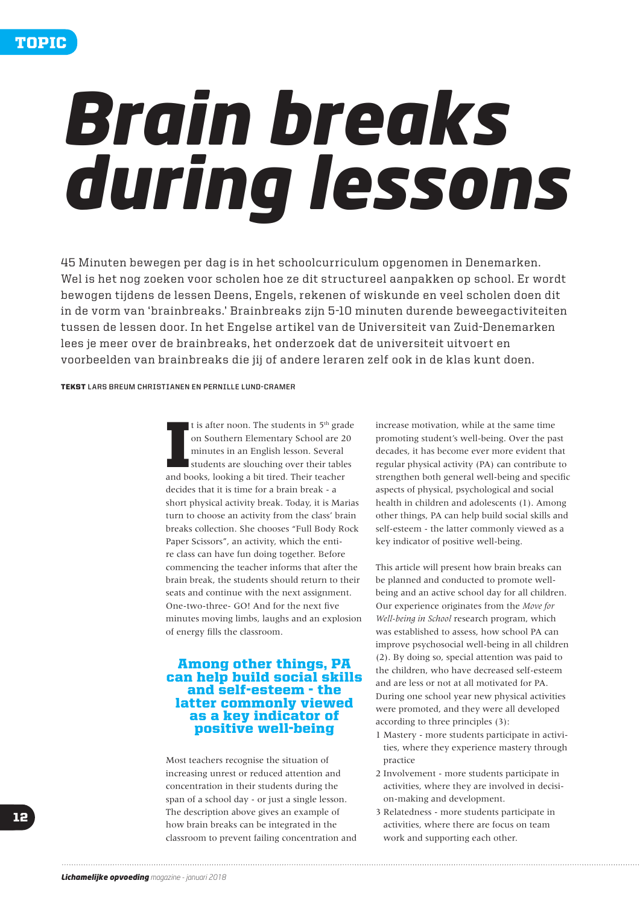# *Brain breaks during lessons*

45 Minuten bewegen per dag is in het schoolcurriculum opgenomen in Denemarken. Wel is het nog zoeken voor scholen hoe ze dit structureel aanpakken op school. Er wordt bewogen tijdens de lessen Deens, Engels, rekenen of wiskunde en veel scholen doen dit in de vorm van 'brainbreaks.' Brainbreaks zijn 5-10 minuten durende beweegactiviteiten tussen de lessen door. In het Engelse artikel van de Universiteit van Zuid-Denemarken lees je meer over de brainbreaks, het onderzoek dat de universiteit uitvoert en voorbeelden van brainbreaks die jij of andere leraren zelf ook in de klas kunt doen.

#### TEKST **LARS BREUM CHRISTIANEN EN PERNILLE LUND-CRAMER**

I is after noon. The students in 5<sup>th</sup> grad on Southern Elementary School are 2<sup>1</sup> minutes in an English lesson. Several students are slouching over their table and books, looking a bit tired. Their teacher It is after noon. The students in  $5<sup>th</sup>$  grade on Southern Elementary School are 20 minutes in an English lesson. Several students are slouching over their tables decides that it is time for a brain break - a short physical activity break. Today, it is Marias turn to choose an activity from the class' brain breaks collection. She chooses "Full Body Rock Paper Scissors", an activity, which the entire class can have fun doing together. Before commencing the teacher informs that after the brain break, the students should return to their seats and continue with the next assignment. One-two-three- GO! And for the next five minutes moving limbs, laughs and an explosion of energy fills the classroom.

# Among other things, PA can help build social skills and self-esteem - the latter commonly viewed as a key indicator of positive well-being

Most teachers recognise the situation of increasing unrest or reduced attention and concentration in their students during the span of a school day - or just a single lesson. The description above gives an example of how brain breaks can be integrated in the classroom to prevent failing concentration and increase motivation, while at the same time promoting student's well-being. Over the past decades, it has become ever more evident that regular physical activity (PA) can contribute to strengthen both general well-being and specific aspects of physical, psychological and social health in children and adolescents (1). Among other things, PA can help build social skills and self-esteem - the latter commonly viewed as a key indicator of positive well-being.

This article will present how brain breaks can be planned and conducted to promote wellbeing and an active school day for all children. Our experience originates from the *Move for Well-being in School* research program, which was established to assess, how school PA can improve psychosocial well-being in all children (2). By doing so, special attention was paid to the children, who have decreased self-esteem and are less or not at all motivated for PA. During one school year new physical activities were promoted, and they were all developed according to three principles (3):

- 1 Mastery more students participate in activities, where they experience mastery through practice
- 2 Involvement more students participate in activities, where they are involved in decision-making and development.
- 3 Relatedness more students participate in activities, where there are focus on team work and supporting each other.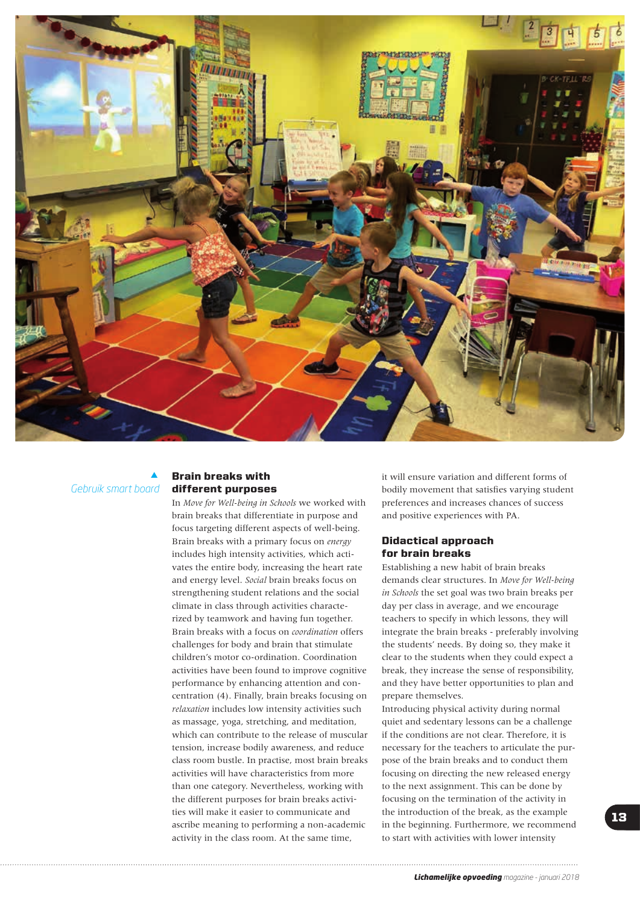

 $\blacktriangle$ *Gebruik smart board*

## Brain breaks with different purposes

In *Move for Well-being in Schools* we worked with brain breaks that differentiate in purpose and focus targeting different aspects of well-being. Brain breaks with a primary focus on *energy* includes high intensity activities, which activates the entire body, increasing the heart rate and energy level. *Social* brain breaks focus on strengthening student relations and the social climate in class through activities characterized by teamwork and having fun together. Brain breaks with a focus on *coordination* offers challenges for body and brain that stimulate children's motor co-ordination. Coordination activities have been found to improve cognitive performance by enhancing attention and concentration (4). Finally, brain breaks focusing on *relaxation* includes low intensity activities such as massage, yoga, stretching, and meditation, which can contribute to the release of muscular tension, increase bodily awareness, and reduce class room bustle. In practise, most brain breaks activities will have characteristics from more than one category. Nevertheless, working with the different purposes for brain breaks activities will make it easier to communicate and ascribe meaning to performing a non-academic activity in the class room. At the same time,

it will ensure variation and different forms of bodily movement that satisfies varying student preferences and increases chances of success and positive experiences with PA.

## Didactical approach for brain breaks

Establishing a new habit of brain breaks demands clear structures. In *Move for Well-being in Schools* the set goal was two brain breaks per day per class in average, and we encourage teachers to specify in which lessons, they will integrate the brain breaks - preferably involving the students' needs. By doing so, they make it clear to the students when they could expect a break, they increase the sense of responsibility, and they have better opportunities to plan and prepare themselves.

Introducing physical activity during normal quiet and sedentary lessons can be a challenge if the conditions are not clear. Therefore, it is necessary for the teachers to articulate the purpose of the brain breaks and to conduct them focusing on directing the new released energy to the next assignment. This can be done by focusing on the termination of the activity in the introduction of the break, as the example in the beginning. Furthermore, we recommend to start with activities with lower intensity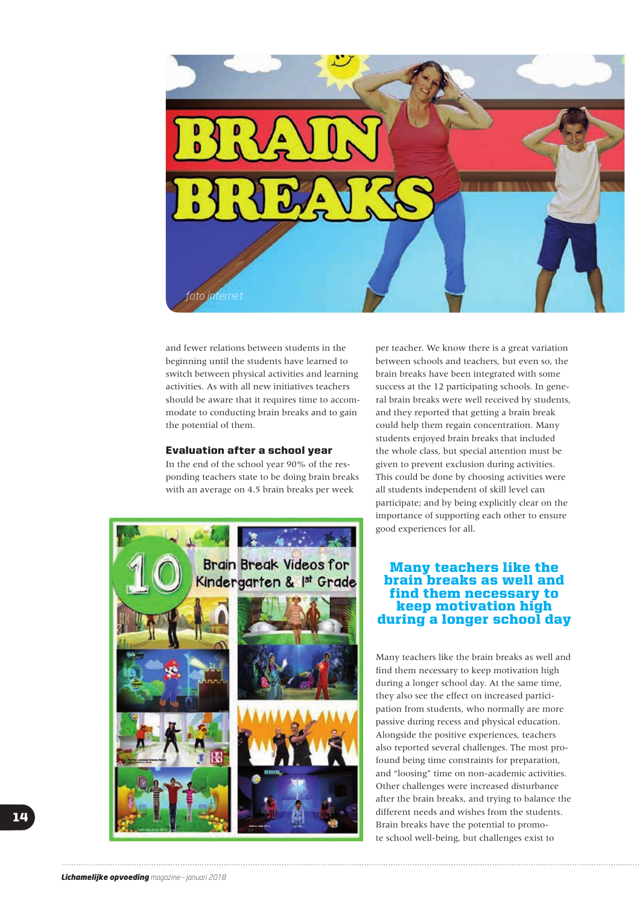

and fewer relations between students in the beginning until the students have learned to switch between physical activities and learning activities. As with all new initiatives teachers should be aware that it requires time to accommodate to conducting brain breaks and to gain the potential of them.

## Evaluation after a school year

In the end of the school year 90% of the responding teachers state to be doing brain breaks with an average on 4.5 brain breaks per week



per teacher. We know there is a great variation between schools and teachers, but even so, the brain breaks have been integrated with some success at the 12 participating schools. In general brain breaks were well received by students, and they reported that getting a brain break could help them regain concentration. Many students enjoyed brain breaks that included the whole class, but special attention must be given to prevent exclusion during activities. This could be done by choosing activities were all students independent of skill level can participate; and by being explicitly clear on the importance of supporting each other to ensure good experiences for all.

# Many teachers like the brain breaks as well and find them necessary to keep motivation high during a longer school day

Many teachers like the brain breaks as well and find them necessary to keep motivation high during a longer school day. At the same time, they also see the effect on increased participation from students, who normally are more passive during recess and physical education. Alongside the positive experiences, teachers also reported several challenges. The most profound being time constraints for preparation, and "loosing" time on non-academic activities. Other challenges were increased disturbance after the brain breaks, and trying to balance the different needs and wishes from the students. Brain breaks have the potential to promote school well-being, but challenges exist to